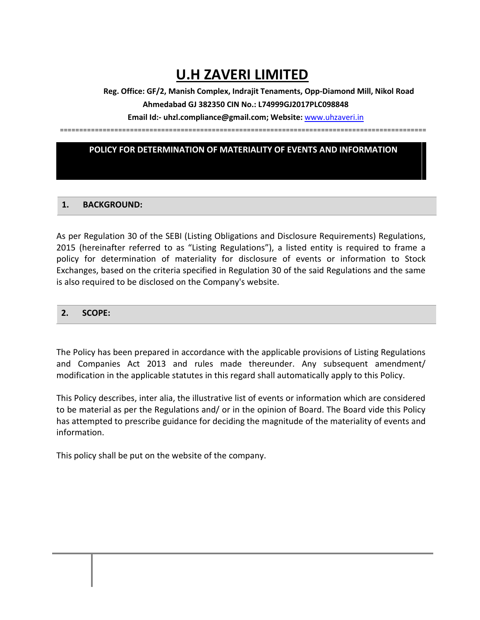# **U.H ZAVERI LIMITED**

**Reg. Office: GF/2, Manish Complex, Indrajit Tenaments, Opp-Diamond Mill, Nikol Road Ahmedabad GJ 382350 CIN No.: L74999GJ2017PLC098848**

**Email Id:- uhzl.compliance@gmail.com; Website:** [www.uhzaveri.i](http://www.uhzaveri./)n

==============================================================================================

## **POLICY FOR DETERMINATION OF MATERIALITY OF EVENTS AND INFORMATION**

#### **1. BACKGROUND:**

As per Regulation 30 of the SEBI (Listing Obligations and Disclosure Requirements) Regulations, 2015 (hereinafter referred to as "Listing Regulations"), a listed entity is required to frame a policy for determination of materiality for disclosure of events or information to Stock Exchanges, based on the criteria specified in Regulation 30 of the said Regulations and the same is also required to be disclosed on the Company's website.

#### **2. SCOPE:**

The Policy has been prepared in accordance with the applicable provisions of Listing Regulations and Companies Act 2013 and rules made thereunder. Any subsequent amendment/ modification in the applicable statutes in this regard shall automatically apply to this Policy.

This Policy describes, inter alia, the illustrative list of events or information which are considered to be material as per the Regulations and/ or in the opinion of Board. The Board vide this Policy has attempted to prescribe guidance for deciding the magnitude of the materiality of events and information.

This policy shall be put on the website of the company.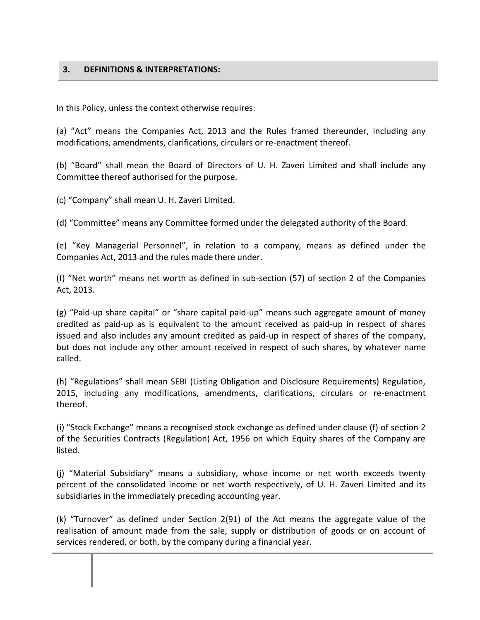## **3. DEFINITIONS & INTERPRETATIONS:**

In this Policy, unless the context otherwise requires:

(a) "Act" means the Companies Act, 2013 and the Rules framed thereunder, including any modifications, amendments, clarifications, circulars or re-enactment thereof.

(b) "Board" shall mean the Board of Directors of U. H. Zaveri Limited and shall include any Committee thereof authorised for the purpose.

(c) "Company" shall mean U. H. Zaveri Limited.

(d) "Committee" means any Committee formed under the delegated authority of the Board.

(e) "Key Managerial Personnel", in relation to a company, means as defined under the Companies Act, 2013 and the rules made there under.

(f) "Net worth" means net worth as defined in sub-section (57) of section 2 of the Companies Act, 2013.

(g) "Paid-up share capital" or "share capital paid-up" means such aggregate amount of money credited as paid-up as is equivalent to the amount received as paid-up in respect of shares issued and also includes any amount credited as paid-up in respect of shares of the company, but does not include any other amount received in respect of such shares, by whatever name called.

(h) "Regulations" shall mean SEBI (Listing Obligation and Disclosure Requirements) Regulation, 2015, including any modifications, amendments, clarifications, circulars or re-enactment thereof.

(i) "Stock Exchange" means a recognised stock exchange as defined under clause (f) of section 2 of the Securities Contracts (Regulation) Act, 1956 on which Equity shares of the Company are listed.

(j) "Material Subsidiary" means a subsidiary, whose income or net worth exceeds twenty percent of the consolidated income or net worth respectively, of U. H. Zaveri Limited and its subsidiaries in the immediately preceding accounting year.

(k) "Turnover" as defined under Section 2(91) of the Act means the aggregate value of the realisation of amount made from the sale, supply or distribution of goods or on account of services rendered, or both, by the company during a financial year.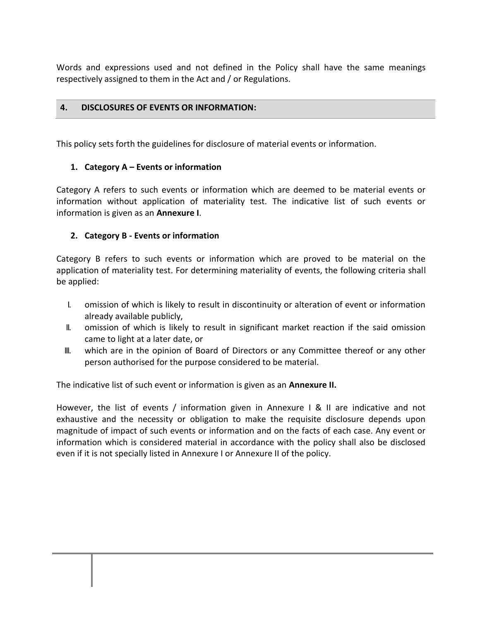Words and expressions used and not defined in the Policy shall have the same meanings respectively assigned to them in the Act and / or Regulations.

### **4. DISCLOSURES OF EVENTS OR INFORMATION:**

This policy sets forth the guidelines for disclosure of material events or information.

## **1. Category A – Events or information**

Category A refers to such events or information which are deemed to be material events or information without application of materiality test. The indicative list of such events or information is given as an **Annexure I**.

## **2. Category B - Events or information**

Category B refers to such events or information which are proved to be material on the application of materiality test. For determining materiality of events, the following criteria shall be applied:

- I. omission of which is likely to result in discontinuity or alteration of event or information already available publicly,
- II. omission of which is likely to result in significant market reaction if the said omission came to light at a later date, or
- III. which are in the opinion of Board of Directors or any Committee thereof or any other person authorised for the purpose considered to be material.

The indicative list of such event or information is given as an **Annexure II.**

However, the list of events / information given in Annexure I & II are indicative and not exhaustive and the necessity or obligation to make the requisite disclosure depends upon magnitude of impact of such events or information and on the facts of each case. Any event or information which is considered material in accordance with the policy shall also be disclosed even if it is not specially listed in Annexure I or Annexure II of the policy.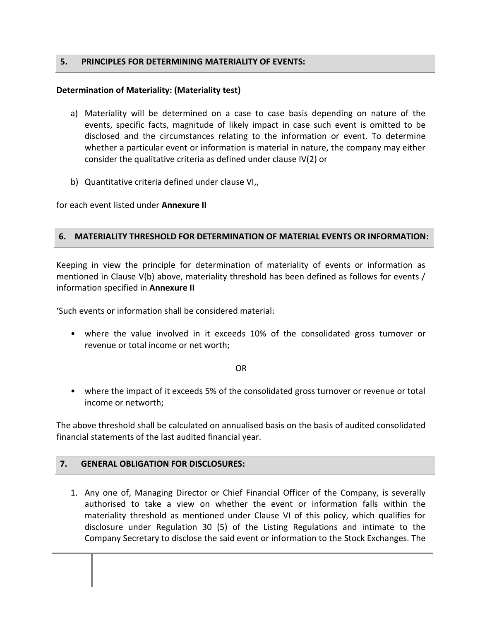#### **5. PRINCIPLES FOR DETERMINING MATERIALITY OF EVENTS:**

#### **Determination of Materiality: (Materiality test)**

- a) Materiality will be determined on a case to case basis depending on nature of the events, specific facts, magnitude of likely impact in case such event is omitted to be disclosed and the circumstances relating to the information or event. To determine whether a particular event or information is material in nature, the company may either consider the qualitative criteria as defined under clause IV(2) or
- b) Quantitative criteria defined under clause VI,,

for each event listed under **Annexure II**

#### **6. MATERIALITY THRESHOLD FOR DETERMINATION OF MATERIAL EVENTS OR INFORMATION:**

Keeping in view the principle for determination of materiality of events or information as mentioned in Clause V(b) above, materiality threshold has been defined as follows for events / information specified in **Annexure II**

'Such events or information shall be considered material:

• where the value involved in it exceeds 10% of the consolidated gross turnover or revenue or total income or net worth;

#### OR

• where the impact of it exceeds 5% of the consolidated gross turnover or revenue or total income or networth;

The above threshold shall be calculated on annualised basis on the basis of audited consolidated financial statements of the last audited financial year.

### **7. GENERAL OBLIGATION FOR DISCLOSURES:**

1. Any one of, Managing Director or Chief Financial Officer of the Company, is severally authorised to take a view on whether the event or information falls within the materiality threshold as mentioned under Clause VI of this policy, which qualifies for disclosure under Regulation 30 (5) of the Listing Regulations and intimate to the Company Secretary to disclose the said event or information to the Stock Exchanges. The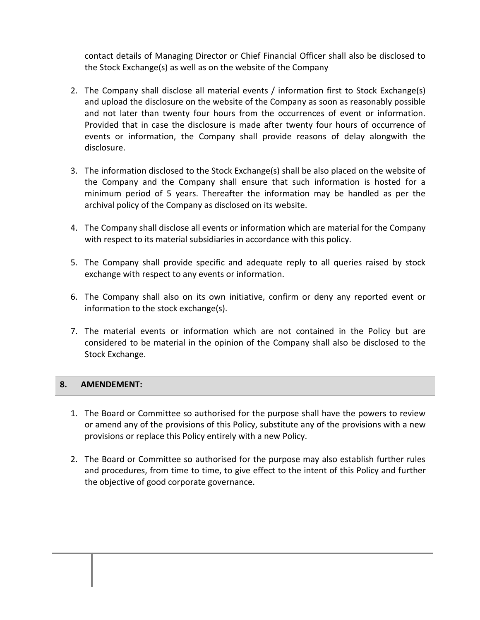contact details of Managing Director or Chief Financial Officer shall also be disclosed to the Stock Exchange(s) as well as on the website of the Company

- 2. The Company shall disclose all material events / information first to Stock Exchange(s) and upload the disclosure on the website of the Company as soon as reasonably possible and not later than twenty four hours from the occurrences of event or information. Provided that in case the disclosure is made after twenty four hours of occurrence of events or information, the Company shall provide reasons of delay alongwith the disclosure.
- 3. The information disclosed to the Stock Exchange(s) shall be also placed on the website of the Company and the Company shall ensure that such information is hosted for a minimum period of 5 years. Thereafter the information may be handled as per the archival policy of the Company as disclosed on its website.
- 4. The Company shall disclose all events or information which are material for the Company with respect to its material subsidiaries in accordance with this policy.
- 5. The Company shall provide specific and adequate reply to all queries raised by stock exchange with respect to any events or information.
- 6. The Company shall also on its own initiative, confirm or deny any reported event or information to the stock exchange(s).
- 7. The material events or information which are not contained in the Policy but are considered to be material in the opinion of the Company shall also be disclosed to the Stock Exchange.

## **8. AMENDEMENT:**

- 1. The Board or Committee so authorised for the purpose shall have the powers to review or amend any of the provisions of this Policy, substitute any of the provisions with a new provisions or replace this Policy entirely with a new Policy.
- 2. The Board or Committee so authorised for the purpose may also establish further rules and procedures, from time to time, to give effect to the intent of this Policy and further the objective of good corporate governance.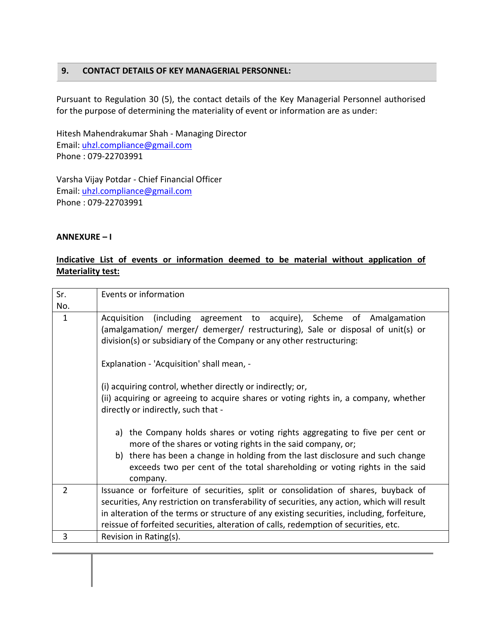## **9. CONTACT DETAILS OF KEY MANAGERIAL PERSONNEL:**

Pursuant to Regulation 30 (5), the contact details of the Key Managerial Personnel authorised for the purpose of determining the materiality of event or information are as under:

Hitesh Mahendrakumar Shah - Managing Director Email: [uhzl.compliance@gmail.com](mailto:uhzl.compliance@gmail.com) Phone : 079-22703991

Varsha Vijay Potdar - Chief Financial Officer Email: [uhzl.compliance@gmail.com](mailto:uhzl.compliance@gmail.com) Phone : 079-22703991

### **ANNEXURE – I**

## **Indicative List of events or information deemed to be material without application of Materiality test:**

| Sr.            | Events or information                                                                                                                                                                                                                                                                                                                                                                                                                                                     |
|----------------|---------------------------------------------------------------------------------------------------------------------------------------------------------------------------------------------------------------------------------------------------------------------------------------------------------------------------------------------------------------------------------------------------------------------------------------------------------------------------|
| No.            |                                                                                                                                                                                                                                                                                                                                                                                                                                                                           |
| $\mathbf{1}$   | Acquisition (including agreement to acquire), Scheme of Amalgamation<br>(amalgamation/ merger/ demerger/ restructuring), Sale or disposal of unit(s) or<br>division(s) or subsidiary of the Company or any other restructuring:<br>Explanation - 'Acquisition' shall mean, -<br>(i) acquiring control, whether directly or indirectly; or,<br>(ii) acquiring or agreeing to acquire shares or voting rights in, a company, whether<br>directly or indirectly, such that - |
|                | a) the Company holds shares or voting rights aggregating to five per cent or<br>more of the shares or voting rights in the said company, or;<br>b) there has been a change in holding from the last disclosure and such change<br>exceeds two per cent of the total shareholding or voting rights in the said<br>company.                                                                                                                                                 |
| $\overline{2}$ | Issuance or forfeiture of securities, split or consolidation of shares, buyback of<br>securities, Any restriction on transferability of securities, any action, which will result<br>in alteration of the terms or structure of any existing securities, including, forfeiture,<br>reissue of forfeited securities, alteration of calls, redemption of securities, etc.                                                                                                   |
| 3              | Revision in Rating(s).                                                                                                                                                                                                                                                                                                                                                                                                                                                    |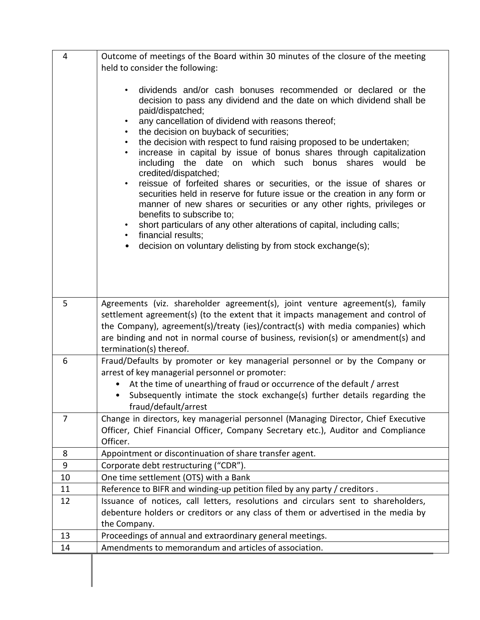| 4              | Outcome of meetings of the Board within 30 minutes of the closure of the meeting                                                                                   |
|----------------|--------------------------------------------------------------------------------------------------------------------------------------------------------------------|
|                | held to consider the following:                                                                                                                                    |
|                |                                                                                                                                                                    |
|                | dividends and/or cash bonuses recommended or declared or the<br>٠                                                                                                  |
|                | decision to pass any dividend and the date on which dividend shall be                                                                                              |
|                | paid/dispatched;<br>any cancellation of dividend with reasons thereof;<br>$\bullet$                                                                                |
|                | the decision on buyback of securities;<br>$\bullet$                                                                                                                |
|                | the decision with respect to fund raising proposed to be undertaken;<br>٠                                                                                          |
|                | increase in capital by issue of bonus shares through capitalization<br>$\bullet$                                                                                   |
|                | including the date on which such bonus<br>shares would<br>be<br>credited/dispatched;                                                                               |
|                | reissue of forfeited shares or securities, or the issue of shares or<br>$\bullet$                                                                                  |
|                | securities held in reserve for future issue or the creation in any form or                                                                                         |
|                | manner of new shares or securities or any other rights, privileges or                                                                                              |
|                | benefits to subscribe to;<br>short particulars of any other alterations of capital, including calls;<br>٠                                                          |
|                | financial results;<br>$\bullet$                                                                                                                                    |
|                | decision on voluntary delisting by from stock exchange(s);                                                                                                         |
|                |                                                                                                                                                                    |
|                |                                                                                                                                                                    |
|                |                                                                                                                                                                    |
| 5              | Agreements (viz. shareholder agreement(s), joint venture agreement(s), family                                                                                      |
|                | settlement agreement(s) (to the extent that it impacts management and control of                                                                                   |
|                | the Company), agreement(s)/treaty (ies)/contract(s) with media companies) which                                                                                    |
|                | are binding and not in normal course of business, revision(s) or amendment(s) and                                                                                  |
|                | termination(s) thereof.                                                                                                                                            |
| 6              | Fraud/Defaults by promoter or key managerial personnel or by the Company or                                                                                        |
|                | arrest of key managerial personnel or promoter:                                                                                                                    |
|                | At the time of unearthing of fraud or occurrence of the default / arrest<br>Subsequently intimate the stock exchange(s) further details regarding the<br>$\bullet$ |
|                | fraud/default/arrest                                                                                                                                               |
| $\overline{7}$ | Change in directors, key managerial personnel (Managing Director, Chief Executive                                                                                  |
|                | Officer, Chief Financial Officer, Company Secretary etc.), Auditor and Compliance                                                                                  |
|                | Officer.                                                                                                                                                           |
| 8              | Appointment or discontinuation of share transfer agent.                                                                                                            |
| 9              | Corporate debt restructuring ("CDR").                                                                                                                              |
| 10             | One time settlement (OTS) with a Bank                                                                                                                              |
| 11             | Reference to BIFR and winding-up petition filed by any party / creditors.                                                                                          |
| 12             | Issuance of notices, call letters, resolutions and circulars sent to shareholders,                                                                                 |
|                | debenture holders or creditors or any class of them or advertised in the media by<br>the Company.                                                                  |
| 13             | Proceedings of annual and extraordinary general meetings.                                                                                                          |
| 14             | Amendments to memorandum and articles of association.                                                                                                              |
|                |                                                                                                                                                                    |